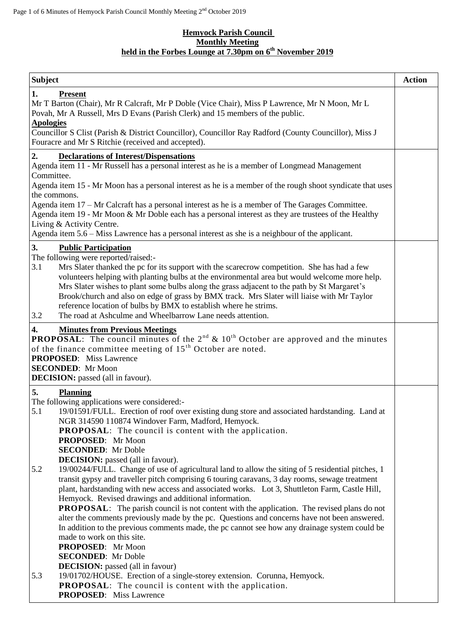### **Hemyock Parish Council Monthly Meeting held in the Forbes Lounge at 7.30pm on 6 th November 2019**

| <b>Subject</b>                                                                                                                                                                                                                                                                                                                                                                                                                                                                                                                                                                                                                                                                                                                                                                                         | <b>Action</b> |
|--------------------------------------------------------------------------------------------------------------------------------------------------------------------------------------------------------------------------------------------------------------------------------------------------------------------------------------------------------------------------------------------------------------------------------------------------------------------------------------------------------------------------------------------------------------------------------------------------------------------------------------------------------------------------------------------------------------------------------------------------------------------------------------------------------|---------------|
| 1.<br><b>Present</b><br>Mr T Barton (Chair), Mr R Calcraft, Mr P Doble (Vice Chair), Miss P Lawrence, Mr N Moon, Mr L<br>Povah, Mr A Russell, Mrs D Evans (Parish Clerk) and 15 members of the public.<br><b>Apologies</b>                                                                                                                                                                                                                                                                                                                                                                                                                                                                                                                                                                             |               |
| Councillor S Clist (Parish & District Councillor), Councillor Ray Radford (County Councillor), Miss J<br>Fouracre and Mr S Ritchie (received and accepted).                                                                                                                                                                                                                                                                                                                                                                                                                                                                                                                                                                                                                                            |               |
| 2.<br><b>Declarations of Interest/Dispensations</b><br>Agenda item 11 - Mr Russell has a personal interest as he is a member of Longmead Management<br>Committee.<br>Agenda item 15 - Mr Moon has a personal interest as he is a member of the rough shoot syndicate that uses<br>the commons.<br>Agenda item 17 – Mr Calcraft has a personal interest as he is a member of The Garages Committee.<br>Agenda item 19 - Mr Moon & Mr Doble each has a personal interest as they are trustees of the Healthy<br>Living & Activity Centre.<br>Agenda item 5.6 – Miss Lawrence has a personal interest as she is a neighbour of the applicant.                                                                                                                                                             |               |
| 3.<br><b>Public Participation</b>                                                                                                                                                                                                                                                                                                                                                                                                                                                                                                                                                                                                                                                                                                                                                                      |               |
| The following were reported/raised:-<br>3.1<br>Mrs Slater thanked the pc for its support with the scarecrow competition. She has had a few<br>volunteers helping with planting bulbs at the environmental area but would welcome more help.<br>Mrs Slater wishes to plant some bulbs along the grass adjacent to the path by St Margaret's<br>Brook/church and also on edge of grass by BMX track. Mrs Slater will liaise with Mr Taylor<br>reference location of bulbs by BMX to establish where he strims.<br>3.2<br>The road at Ashculme and Wheelbarrow Lane needs attention.                                                                                                                                                                                                                      |               |
| <b>4.</b> Minutes from Previous Meetings<br><b>PROPOSAL</b> : The council minutes of the $2^{nd}$ & $10^{th}$ October are approved and the minutes                                                                                                                                                                                                                                                                                                                                                                                                                                                                                                                                                                                                                                                     |               |
| of the finance committee meeting of 15 <sup>th</sup> October are noted.<br><b>PROPOSED:</b> Miss Lawrence<br><b>SECONDED:</b> Mr Moon<br><b>DECISION:</b> passed (all in favour).                                                                                                                                                                                                                                                                                                                                                                                                                                                                                                                                                                                                                      |               |
| 5.<br><b>Planning</b>                                                                                                                                                                                                                                                                                                                                                                                                                                                                                                                                                                                                                                                                                                                                                                                  |               |
| The following applications were considered:-<br>5.1<br>19/01591/FULL. Erection of roof over existing dung store and associated hardstanding. Land at<br>NGR 314590 110874 Windover Farm, Madford, Hemyock.<br><b>PROPOSAL:</b> The council is content with the application.<br>PROPOSED: Mr Moon<br><b>SECONDED:</b> Mr Doble<br><b>DECISION:</b> passed (all in favour).                                                                                                                                                                                                                                                                                                                                                                                                                              |               |
| 19/00244/FULL. Change of use of agricultural land to allow the siting of 5 residential pitches, 1<br>5.2<br>transit gypsy and traveller pitch comprising 6 touring caravans, 3 day rooms, sewage treatment<br>plant, hardstanding with new access and associated works. Lot 3, Shuttleton Farm, Castle Hill,<br>Hemyock. Revised drawings and additional information.<br><b>PROPOSAL:</b> The parish council is not content with the application. The revised plans do not<br>alter the comments previously made by the pc. Questions and concerns have not been answered.<br>In addition to the previous comments made, the pc cannot see how any drainage system could be<br>made to work on this site.<br>PROPOSED: Mr Moon<br><b>SECONDED:</b> Mr Doble<br><b>DECISION:</b> passed (all in favour) |               |
| 5.3<br>19/01702/HOUSE. Erection of a single-storey extension. Corunna, Hemyock.<br><b>PROPOSAL:</b> The council is content with the application.<br><b>PROPOSED:</b> Miss Lawrence                                                                                                                                                                                                                                                                                                                                                                                                                                                                                                                                                                                                                     |               |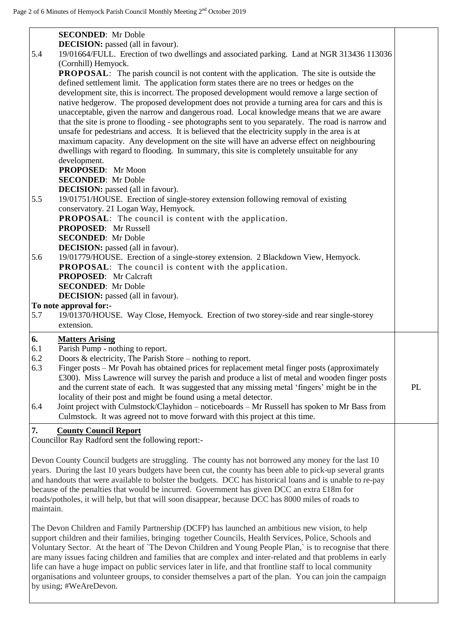| 5.4<br>5.5<br>5.6<br>5.7       | <b>SECONDED:</b> Mr Doble<br><b>DECISION:</b> passed (all in favour).<br>19/01664/FULL. Erection of two dwellings and associated parking. Land at NGR 313436 113036<br>(Cornhill) Hemyock.<br><b>PROPOSAL:</b> The parish council is not content with the application. The site is outside the<br>defined settlement limit. The application form states there are no trees or hedges on the<br>development site, this is incorrect. The proposed development would remove a large section of<br>native hedgerow. The proposed development does not provide a turning area for cars and this is<br>unacceptable, given the narrow and dangerous road. Local knowledge means that we are aware<br>that the site is prone to flooding - see photographs sent to you separately. The road is narrow and<br>unsafe for pedestrians and access. It is believed that the electricity supply in the area is at<br>maximum capacity. Any development on the site will have an adverse effect on neighbouring<br>dwellings with regard to flooding. In summary, this site is completely unsuitable for any<br>development.<br>PROPOSED: Mr Moon<br><b>SECONDED:</b> Mr Doble<br><b>DECISION:</b> passed (all in favour).<br>19/01751/HOUSE. Erection of single-storey extension following removal of existing<br>conservatory. 21 Logan Way, Hemyock.<br><b>PROPOSAL:</b> The council is content with the application.<br><b>PROPOSED:</b> Mr Russell<br><b>SECONDED:</b> Mr Doble<br><b>DECISION:</b> passed (all in favour).<br>19/01779/HOUSE. Erection of a single-storey extension. 2 Blackdown View, Hemyock.<br><b>PROPOSAL:</b> The council is content with the application.<br><b>PROPOSED:</b> Mr Calcraft<br><b>SECONDED:</b> Mr Doble<br><b>DECISION:</b> passed (all in favour).<br>To note approval for:-<br>19/01370/HOUSE. Way Close, Hemyock. Erection of two storey-side and rear single-storey |    |
|--------------------------------|---------------------------------------------------------------------------------------------------------------------------------------------------------------------------------------------------------------------------------------------------------------------------------------------------------------------------------------------------------------------------------------------------------------------------------------------------------------------------------------------------------------------------------------------------------------------------------------------------------------------------------------------------------------------------------------------------------------------------------------------------------------------------------------------------------------------------------------------------------------------------------------------------------------------------------------------------------------------------------------------------------------------------------------------------------------------------------------------------------------------------------------------------------------------------------------------------------------------------------------------------------------------------------------------------------------------------------------------------------------------------------------------------------------------------------------------------------------------------------------------------------------------------------------------------------------------------------------------------------------------------------------------------------------------------------------------------------------------------------------------------------------------------------------------------------------------------------------------------------------------------------------------------------|----|
| 6.<br>6.1<br>6.2<br>6.3<br>6.4 | extension.<br><b>Matters Arising</b><br>Parish Pump - nothing to report.<br>Doors $\&$ electricity, The Parish Store – nothing to report.<br>Finger posts - Mr Povah has obtained prices for replacement metal finger posts (approximately<br>£300). Miss Lawrence will survey the parish and produce a list of metal and wooden finger posts<br>and the current state of each. It was suggested that any missing metal 'fingers' might be in the<br>locality of their post and might be found using a metal detector.<br>Joint project with Culmstock/Clayhidon - noticeboards - Mr Russell has spoken to Mr Bass from                                                                                                                                                                                                                                                                                                                                                                                                                                                                                                                                                                                                                                                                                                                                                                                                                                                                                                                                                                                                                                                                                                                                                                                                                                                                                 | PL |
| 7.                             | Culmstock. It was agreed not to move forward with this project at this time.<br><b>County Council Report</b><br>Councillor Ray Radford sent the following report:-                                                                                                                                                                                                                                                                                                                                                                                                                                                                                                                                                                                                                                                                                                                                                                                                                                                                                                                                                                                                                                                                                                                                                                                                                                                                                                                                                                                                                                                                                                                                                                                                                                                                                                                                      |    |
| maintain.                      | Devon County Council budgets are struggling. The county has not borrowed any money for the last 10<br>years. During the last 10 years budgets have been cut, the county has been able to pick-up several grants<br>and handouts that were available to bolster the budgets. DCC has historical loans and is unable to re-pay<br>because of the penalties that would be incurred. Government has given DCC an extra £18m for<br>roads/potholes, it will help, but that will soon disappear, because DCC has 8000 miles of roads to                                                                                                                                                                                                                                                                                                                                                                                                                                                                                                                                                                                                                                                                                                                                                                                                                                                                                                                                                                                                                                                                                                                                                                                                                                                                                                                                                                       |    |
|                                | The Devon Children and Family Partnership (DCFP) has launched an ambitious new vision, to help<br>support children and their families, bringing together Councils, Health Services, Police, Schools and<br>Voluntary Sector. At the heart of 'The Devon Children and Young People Plan,' is to recognise that there<br>are many issues facing children and families that are complex and inter-related and that problems in early<br>life can have a huge impact on public services later in life, and that frontline staff to local community<br>organisations and volunteer groups, to consider themselves a part of the plan. You can join the campaign<br>by using; #WeAreDevon.                                                                                                                                                                                                                                                                                                                                                                                                                                                                                                                                                                                                                                                                                                                                                                                                                                                                                                                                                                                                                                                                                                                                                                                                                    |    |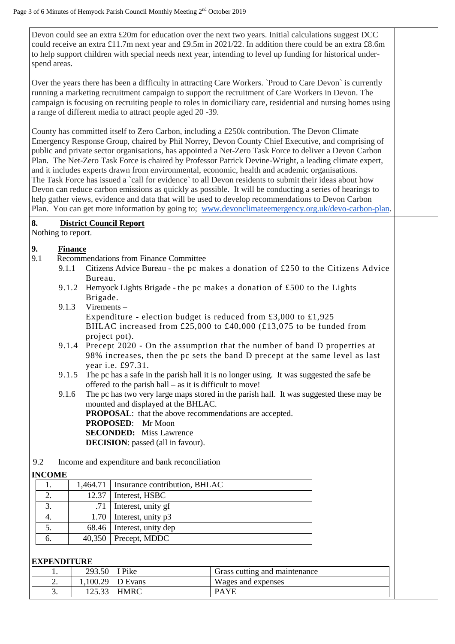Devon could see an extra £20m for education over the next two years. Initial calculations suggest DCC could receive an extra £11.7m next year and £9.5m in 2021/22. In addition there could be an extra £8.6m to help support children with special needs next year, intending to level up funding for historical underspend areas.

Over the years there has been a difficulty in attracting Care Workers. `Proud to Care Devon` is currently running a marketing recruitment campaign to support the recruitment of Care Workers in Devon. The campaign is focusing on recruiting people to roles in domiciliary care, residential and nursing homes using a range of different media to attract people aged 20 -39.

County has committed itself to Zero Carbon, including a £250k contribution. The Devon Climate Emergency Response Group, chaired by Phil Norrey, Devon County Chief Executive, and comprising of public and private sector organisations, has appointed a Net-Zero Task Force to deliver a Devon Carbon Plan. The Net-Zero Task Force is chaired by Professor Patrick Devine-Wright, a leading climate expert, and it includes experts drawn from environmental, economic, health and academic organisations. The Task Force has issued a 'call for evidence' to all Devon residents to submit their ideas about how Devon can reduce carbon emissions as quickly as possible. It will be conducting a series of hearings to help gather views, evidence and data that will be used to develop recommendations to Devon Carbon Plan. You can get more information by going to; [www.devonclimateemergency.org.uk/devo-carbon-plan.](http://www.devonclimateemergency.org.uk/devo-carbon-plan)

## **8. District Council Report**

Nothing to report.

# **9.** Finance<br>9.1 Recomme

- 9.1 Recommendations from Finance Committee
	- 9.1.1 Citizens Advice Bureau the pc makes a donation of £250 to the Citizens Advice Bureau.
	- 9.1.2 Hemyock Lights Brigade the pc makes a donation of £500 to the Lights Brigade.
	- 9.1.3 Virements Expenditure - election budget is reduced from £3,000 to £1,925 BHLAC increased from £25,000 to £40,000 (£13,075 to be funded from project pot).
	- 9.1.4 Precept 2020 On the assumption that the number of band D properties at 98% increases, then the pc sets the band D precept at the same level as last year i.e. £97.31.
	- 9.1.5 The pc has a safe in the parish hall it is no longer using. It was suggested the safe be offered to the parish hall – as it is difficult to move!

9.1.6 The pc has two very large maps stored in the parish hall. It was suggested these may be mounted and displayed at the BHLAC.

**PROPOSAL**: that the above recommendations are accepted. **PROPOSED**: Mr Moon

**SECONDED:** Miss Lawrence

**DECISION**: passed (all in favour).

9.2 Income and expenditure and bank reconciliation

#### **INCOME**

|    | 1,464.71   Insurance contribution, BHLAC |
|----|------------------------------------------|
|    | $12.37$   Interest, HSBC                 |
|    | Interest, unity gf                       |
|    | $1.70$ Interest, unity p3                |
|    | 68.46   Interest, unity dep              |
| O. | $40,350$ Precept, MDDC                   |

#### **EXPENDITURE**

| . .      | 293.50 | I Pike             | Grass cutting and maintenance |  |
|----------|--------|--------------------|-------------------------------|--|
| <u>.</u> |        | $1,100.29$ D Evans | Wages and expenses            |  |
| J.       | 25.33  | <b>HMRC</b>        | <b>PAYE</b>                   |  |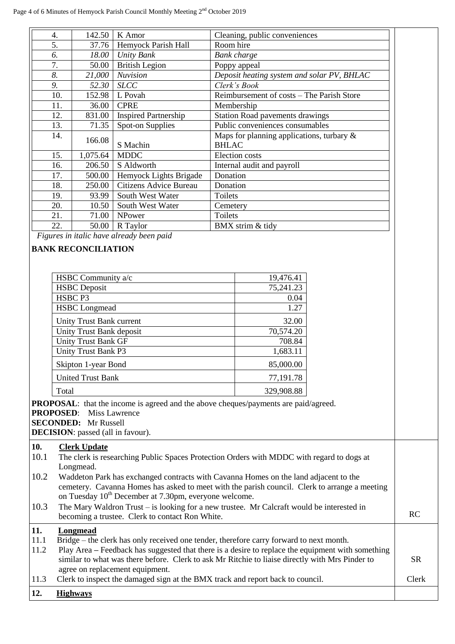| 4.  | 142.50   | K Amor                      | Cleaning, public conveniences                                |
|-----|----------|-----------------------------|--------------------------------------------------------------|
| 5.  | 37.76    | Hemyock Parish Hall         | Room hire                                                    |
| 6.  | 18.00    | <b>Unity Bank</b>           | Bank charge                                                  |
| 7.  | 50.00    | <b>British Legion</b>       | Poppy appeal                                                 |
| 8.  | 21,000   | <b>Nuvision</b>             | Deposit heating system and solar PV, BHLAC                   |
| 9.  | 52.30    | <b>SLCC</b>                 | Clerk's Book                                                 |
| 10. | 152.98   | L Povah                     | Reimbursement of costs - The Parish Store                    |
| 11. | 36.00    | <b>CPRE</b>                 | Membership                                                   |
| 12. | 831.00   | <b>Inspired Partnership</b> | <b>Station Road pavements drawings</b>                       |
| 13. | 71.35    | Spot-on Supplies            | Public conveniences consumables                              |
| 14. | 166.08   | S Machin                    | Maps for planning applications, turbary $\&$<br><b>BHLAC</b> |
| 15. | 1,075.64 | <b>MDDC</b>                 | <b>Election</b> costs                                        |
| 16. | 206.50   | S Aldworth                  | Internal audit and payroll                                   |
| 17. | 500.00   | Hemyock Lights Brigade      | Donation                                                     |
| 18. | 250.00   | Citizens Advice Bureau      | Donation                                                     |
| 19. | 93.99    | South West Water            | Toilets                                                      |
| 20. | 10.50    | South West Water            | Cemetery                                                     |
| 21. | 71.00    | NPower                      | Toilets                                                      |
| 22. | 50.00    | R Taylor                    | BMX strim & tidy                                             |

*Figures in italic have already been paid*

### **BANK RECONCILIATION**

| HSBC Community a/c         | 19,476.41  |
|----------------------------|------------|
| <b>HSBC</b> Deposit        | 75,241.23  |
| HSBC <sub>P3</sub>         | 0.04       |
| <b>HSBC</b> Longmead       | 1.27       |
| Unity Trust Bank current   | 32.00      |
| Unity Trust Bank deposit   | 70,574.20  |
| <b>Unity Trust Bank GF</b> | 708.84     |
| Unity Trust Bank P3        | 1,683.11   |
| Skipton 1-year Bond        | 85,000.00  |
| <b>United Trust Bank</b>   | 77,191.78  |
| Total                      | 329,908.88 |

**PROPOSAL**: that the income is agreed and the above cheques/payments are paid/agreed.

**PROPOSED**: Miss Lawrence

**SECONDED:** Mr Russell

**DECISION**: passed (all in favour).

#### **10. Clerk Update**

- 10.1 The clerk is researching Public Spaces Protection Orders with MDDC with regard to dogs at Longmead.
- 10.2 Waddeton Park has exchanged contracts with Cavanna Homes on the land adjacent to the cemetery. Cavanna Homes has asked to meet with the parish council. Clerk to arrange a meeting on Tuesday 10<sup>th</sup> December at 7.30pm, everyone welcome.
- 10.3 The Mary Waldron Trust is looking for a new trustee. Mr Calcraft would be interested in becoming a trustee. Clerk to contact Ron White.

# **11. Longmead**

11.1 Bridge – the clerk has only received one tender, therefore carry forward to next month.<br>11.2 Blow Area – Feedback has suggested that there is a desire to replace the coupment with 11.2 Play Area **–** Feedback has suggested that there is a desire to replace the equipment with something

| $\perp$ 1.4 | r lay Area – recuback has suggested that there is a desire to replace the equipment with something |       |
|-------------|----------------------------------------------------------------------------------------------------|-------|
|             | similar to what was there before. Clerk to ask Mr Ritchie to liaise directly with Mrs Pinder to    | SR    |
|             | agree on replacement equipment.                                                                    |       |
| 11.3        | Clerk to inspect the damaged sign at the BMX track and report back to council.                     | Clerk |

**12. Highways**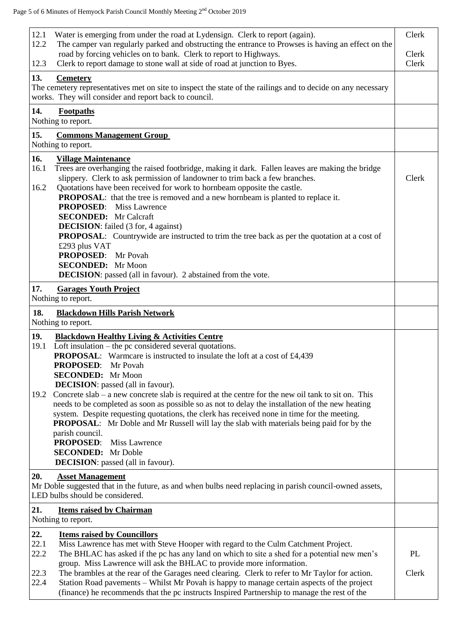| 12.1<br>Water is emerging from under the road at Lydensign. Clerk to report (again).<br>12.2<br>The camper van regularly parked and obstructing the entrance to Prowses is having an effect on the<br>road by forcing vehicles on to bank. Clerk to report to Highways.<br>Clerk to report damage to stone wall at side of road at junction to Byes.<br>12.3                                                                                                                                                                                                                                                                                                                                                                                                               | Clerk<br>Clerk<br>Clerk |
|----------------------------------------------------------------------------------------------------------------------------------------------------------------------------------------------------------------------------------------------------------------------------------------------------------------------------------------------------------------------------------------------------------------------------------------------------------------------------------------------------------------------------------------------------------------------------------------------------------------------------------------------------------------------------------------------------------------------------------------------------------------------------|-------------------------|
| 13.<br><b>Cemetery</b><br>The cemetery representatives met on site to inspect the state of the railings and to decide on any necessary<br>works. They will consider and report back to council.                                                                                                                                                                                                                                                                                                                                                                                                                                                                                                                                                                            |                         |
| 14.<br>Footpaths<br>Nothing to report.                                                                                                                                                                                                                                                                                                                                                                                                                                                                                                                                                                                                                                                                                                                                     |                         |
| 15.<br><b>Commons Management Group</b><br>Nothing to report.                                                                                                                                                                                                                                                                                                                                                                                                                                                                                                                                                                                                                                                                                                               |                         |
| 16.<br><b>Village Maintenance</b><br>16.1<br>Trees are overhanging the raised footbridge, making it dark. Fallen leaves are making the bridge<br>slippery. Clerk to ask permission of landowner to trim back a few branches.<br>16.2<br>Quotations have been received for work to hornbeam opposite the castle.<br><b>PROPOSAL:</b> that the tree is removed and a new hornbeam is planted to replace it.<br><b>PROPOSED:</b> Miss Lawrence<br><b>SECONDED:</b> Mr Calcraft<br><b>DECISION:</b> failed (3 for, 4 against)<br><b>PROPOSAL:</b> Countrywide are instructed to trim the tree back as per the quotation at a cost of<br>£293 plus VAT<br>PROPOSED: Mr Povah<br><b>SECONDED:</b> Mr Moon<br><b>DECISION:</b> passed (all in favour). 2 abstained from the vote. | Clerk                   |
| 17.<br><b>Garages Youth Project</b><br>Nothing to report.                                                                                                                                                                                                                                                                                                                                                                                                                                                                                                                                                                                                                                                                                                                  |                         |
| 18.<br><b>Blackdown Hills Parish Network</b><br>Nothing to report.                                                                                                                                                                                                                                                                                                                                                                                                                                                                                                                                                                                                                                                                                                         |                         |
| 19.<br><b>Blackdown Healthy Living &amp; Activities Centre</b><br>Loft insulation – the pc considered several quotations.<br>19.1<br><b>PROPOSAL:</b> Warmcare is instructed to insulate the loft at a cost of £4,439<br><b>PROPOSED:</b><br>Mr Povah<br><b>SECONDED:</b> Mr Moon<br><b>DECISION</b> : passed (all in favour).<br>Concrete $slab - a$ new concrete $slab$ is required at the centre for the new oil tank to sit on. This<br>19.2<br>needs to be completed as soon as possible so as not to delay the installation of the new heating<br>system. Despite requesting quotations, the clerk has received none in time for the meeting.<br><b>PROPOSAL:</b> Mr Doble and Mr Russell will lay the slab with materials being paid for by the                     |                         |
| parish council.<br><b>PROPOSED:</b><br><b>Miss Lawrence</b><br><b>SECONDED:</b> Mr Doble<br><b>DECISION</b> : passed (all in favour).                                                                                                                                                                                                                                                                                                                                                                                                                                                                                                                                                                                                                                      |                         |
| 20.<br><b>Asset Management</b><br>Mr Doble suggested that in the future, as and when bulbs need replacing in parish council-owned assets,<br>LED bulbs should be considered.                                                                                                                                                                                                                                                                                                                                                                                                                                                                                                                                                                                               |                         |
| 21.<br><b>Items raised by Chairman</b><br>Nothing to report.                                                                                                                                                                                                                                                                                                                                                                                                                                                                                                                                                                                                                                                                                                               |                         |
| 22.<br><b>Items raised by Councillors</b><br>22.1<br>Miss Lawrence has met with Steve Hooper with regard to the Culm Catchment Project.<br>22.2<br>The BHLAC has asked if the pc has any land on which to site a shed for a potential new men's<br>group. Miss Lawrence will ask the BHLAC to provide more information.<br>22.3<br>The brambles at the rear of the Garages need clearing. Clerk to refer to Mr Taylor for action.                                                                                                                                                                                                                                                                                                                                          | PL<br>Clerk             |
| 22.4<br>Station Road pavements - Whilst Mr Povah is happy to manage certain aspects of the project<br>(finance) he recommends that the pc instructs Inspired Partnership to manage the rest of the                                                                                                                                                                                                                                                                                                                                                                                                                                                                                                                                                                         |                         |